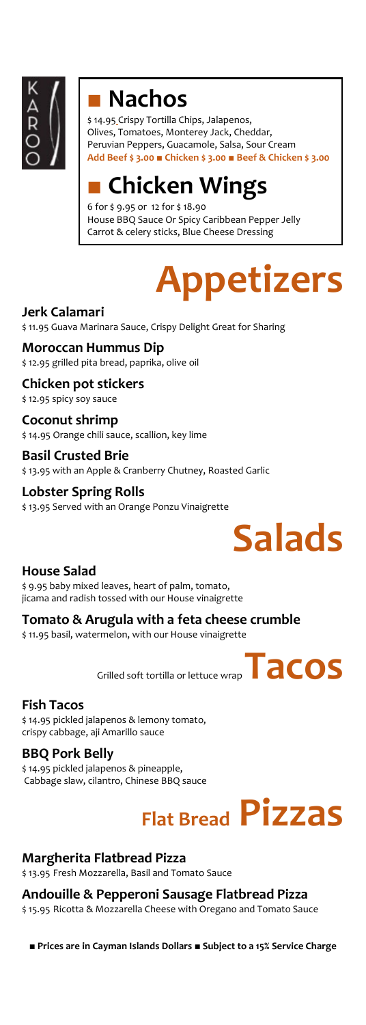

### **■ Nachos**

\$ 14.95 Crispy Tortilla Chips, Jalapenos, Olives, Tomatoes, Monterey Jack, Cheddar, Peruvian Peppers, Guacamole, Salsa, Sour Cream **Add Beef \$ 3.00 ■ Chicken \$ 3.00 ■ Beef & Chicken \$ 3.00**

### **■ Chicken Wings**

6 for \$ 9.95 or 12 for \$ 18.90 House BBQ Sauce Or Spicy Caribbean Pepper Jelly Carrot & celery sticks, Blue Cheese Dressing

# **Appetizers**

**Jerk Calamari**  \$ 11.95 Guava Marinara Sauce, Crispy Delight Great for Sharing

**Moroccan Hummus Dip** \$ 12.95 grilled pita bread, paprika, olive oil

**Chicken pot stickers**  \$ 12.95 spicy soy sauce

**Coconut shrimp**  \$ 14.95 Orange chili sauce, scallion, key lime

**Basil Crusted Brie** \$ 13.95 with an Apple & Cranberry Chutney, Roasted Garlic

**Lobster Spring Rolls** \$ 13.95 Served with an Orange Ponzu Vinaigrette



#### **House Salad**

\$ 9.95 baby mixed leaves, heart of palm, tomato, jicama and radish tossed with our House vinaigrette

**Tomato & Arugula with a feta cheese crumble** \$ 11.95 basil, watermelon, with our House vinaigrette

Grilled soft tortilla or lettuce wrap **Tacos** 

#### **Fish Tacos**

\$ 14.95 pickled jalapenos & lemony tomato, crispy cabbage, aji Amarillo sauce

**BBQ Pork Belly** \$ 14.95 pickled jalapenos & pineapple, Cabbage slaw, cilantro, Chinese BBQ sauce

# **Flat Bread Pizzas**

#### **Margherita Flatbread Pizza**

\$ 13.95 Fresh Mozzarella, Basil and Tomato Sauce

**Andouille & Pepperoni Sausage Flatbread Pizza**  \$ 15.95 Ricotta & Mozzarella Cheese with Oregano and Tomato Sauce

■ **Prices are in Cayman Islands Dollars** ■ **Subject to a 15% Service Charge**